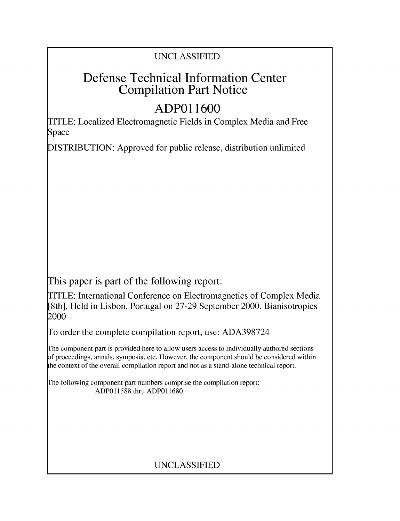## UNCLASSIFIED

# Defense Technical Information Center Compilation Part Notice

# **ADPO 11600**

TITLE: Localized Electromagnetic Fields in Complex Media and Free Space

DISTRIBUTION: Approved for public release, distribution unlimited

This paper is part of the following report:

TITLE: International Conference on Electromagnetics of Complex Media [8th], Held in Lisbon, Portugal on 27-29 September 2000. Bianisotropics 2000

To order the complete compilation report, use: ADA398724

The component part is provided here to allow users access to individually authored sections f proceedings, annals, symposia, etc. However, the component should be considered within [he context of the overall compilation report and not as a stand-alone technical report.

The following component part numbers comprise the compilation report: ADP011588 thru ADP011680

## UNCLASSIFIED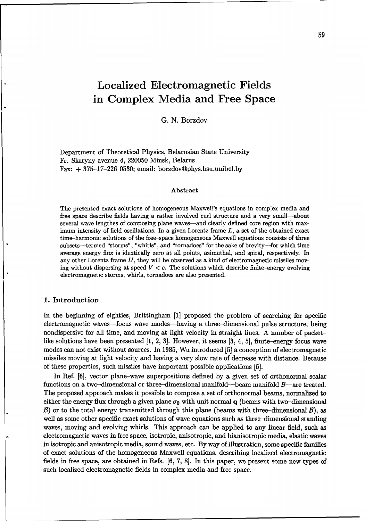## Localized Electromagnetic Fields in Complex Media and Free Space

G. N. Borzdov

Department of Theoretical Physics, Belarusian State University Fr. Skaryny avenue 4, 220050 Minsk, Belarus Fax:  $+375-17-226$  0530; email: borzdov@phys.bsu.unibel.by

#### Abstract

The presented exact solutions of homogeneous Maxwell's equations in complex media and free space describe fields having a rather involved curl structure and a very small--about several wave lengthes of composing plane waves-and clearly defined core region with maximum intensity of field oscillations. In a given Lorentz frame  $L$ , a set of the obtained exact time-harmonic solutions of the free-space homogeneous Maxwell equations consists of three subsets-termed "storms", "whirls", and "tornadoes" for the sake of brevity-for which time average energy flux is identically zero at all points, azimuthal, and spiral, respectively. In any other Lorentz frame L', they will be observed as a kind of electromagnetic missiles moving without dispersing at speed  $V < c$ . The solutions which describe finite-energy evolving electromagnetic storms, whirls, tornadoes are also presented.

#### 1. Introduction

In the beginning of eighties, Brittingham [1] proposed the problem of searching for specific electromagnetic waves-focus wave modes-having a three-dimensional pulse structure, being nondispersive for all time, and moving at light velocity in straight lines. A number of packetlike solutions have been presented [1, 2, 3]. However, it seems [3, 4, 5], finite-energy focus wave modes can not exist without sources. In 1985, Wu introduced [5] a conception of electromagnetic missiles moving at light velocity and having a very slow rate of decrease with distance. Because of these properties, such missiles have important possible applications [5].

In Ref. [6], vector plane-wave superpositions defined by a given set of orthonormal scalar functions on a two-dimensional or three-dimensional manifold-beam manifold  $B$ -are treated. The proposed approach makes it possible to compose a set of orthonormal beams, normalized to either the energy flux through a given plane  $\sigma_0$  with unit normal q (beams with two-dimensional  $B$ ) or to the total energy transmitted through this plane (beams with three-dimensional  $B$ ), as well as some other specific exact solutions of wave equations such as three-dimensional standing waves, moving and evolving whirls. This approach can be applied to any linear field, such as electromagnetic waves in free space, isotropic, anisotropic, and bianisotropic media, elastic waves in isotropic and anisotropic media, sound waves, etc. By way of illustration, some specific families of exact solutions of the homogeneous Maxwell equations, describing localized electromagnetic fields in free space, are obtained in Refs. [6, 7, 8]. In this paper, we present some new types of such localized electromagnetic fields in complex media and free space.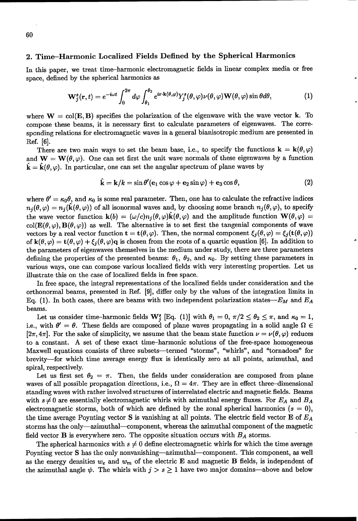#### 2. Time-Harmonic Localized Fields Defined **by** the Spherical Harmonics

In this paper, we treat time-harmonic electromagnetic fields in linear complex media or free space, defined by the spherical harmonics as

$$
\mathbf{W}_{j}^{s}(\mathbf{r},t)=e^{-i\omega t}\int_{0}^{2\pi}d\varphi\int_{\theta_{1}}^{\theta_{2}}e^{i\mathbf{r}\cdot\mathbf{k}(\theta,\varphi)}Y_{j}^{s}(\theta,\varphi)\nu(\theta,\varphi)\mathbf{W}(\theta,\varphi)\sin\theta d\theta,
$$
\n(1)

where  $W = col(E, B)$  specifies the polarization of the eigenwave with the wave vector k. To compose these beams, it is necessary first to calculate parameters of eigenwaves. The corresponding relations for electromagnetic waves in a general bianisotropic medium are presented in Ref. [6].

There are two main ways to set the beam base, i.e., to specify the functions  $\mathbf{k} = \mathbf{k}(\theta, \varphi)$ and  $W = W(\theta, \varphi)$ . One can set first the unit wave normals of these eigenwaves by a function  $\hat{\mathbf{k}} = \hat{\mathbf{k}}(\theta, \varphi)$ . In particular, one can set the angular spectrum of plane waves by

$$
\hat{\mathbf{k}} = \mathbf{k}/k = \sin \theta' (\mathbf{e}_1 \cos \varphi + \mathbf{e}_2 \sin \varphi) + \mathbf{e}_3 \cos \theta, \tag{2}
$$

where  $\theta' = \kappa_0 \theta$ , and  $\kappa_0$  is some real parameter. Then, one has to calculate the refractive indices  $n_j(\theta,\varphi) = n_j(\hat{\mathbf{k}}(\theta,\varphi))$  of all isonormal waves and, by choosing some branch  $n_j(\theta,\varphi)$ , to specify the wave vector function  $\mathbf{k}(b) = (\omega/c)n_i(\theta, \varphi)\hat{\mathbf{k}}(\theta, \varphi)$  and the amplitude function  $\mathbf{W}(\theta, \varphi) =$  $col(\mathbf{E}(\theta, \varphi), \mathbf{B}(\theta, \varphi))$  as well. The alternative is to set first the tangenial components of wave vectors by a real vector function  $\mathbf{t} = \mathbf{t}(\theta, \varphi)$ . Then, the normal component  $\xi_i(\theta, \varphi) = \xi_j(\mathbf{t}(\theta, \varphi))$ of  $\mathbf{k}(\theta, \varphi) = \mathbf{t}(\theta, \varphi) + \xi_i(\theta, \varphi)$ q is chosen from the roots of a quartic equation [6]. In addition to the parameters of eigenwaves themselves in the medium under study, there are three parameters defining the properties of the presented beams:  $\theta_1$ ,  $\theta_2$ , and  $\kappa_0$ . By setting these parameters in various ways, one can compose various localized fields with very interesting properties. Let us illustrate this on the case of localized fields in free space.

In free space, the integral representations of the localized fields under consideration and the orthonormal beams, presented in Ref. [9], differ only by the values of the integration limits in Eq. (1). In both cases, there are beams with two independent polarization states- $E_M$  and  $E_A$ beams.

Let us consider time-harmonic fields  $\mathbf{W}_{i}^{s}$  [Eq. (1)] with  $\theta_{1} = 0$ ,  $\pi/2 \le \theta_{2} \le \pi$ , and  $\kappa_{0} = 1$ , i.e., with  $\theta' = \theta$ . These fields are composed of plane waves propagating in a solid angle  $\Omega \in$  $[2\pi, 4\pi]$ . For the sake of simplicity, we assume that the beam state function  $\nu = \nu(\theta, \varphi)$  reduces to a constant. A set of these exact time-harmonic solutions of the free-space homogeneous Maxwell equations consists of three subsets—termed "storms", "whirls", and "tornadoes" for brevity-for which time average energy flux is identically zero at all points, azimuthal, and spiral, respectively.

Let us first set  $\theta_2 = \pi$ . Then, the fields under consideration are composed from plane waves of all possible propagation directions, i.e.,  $\Omega = 4\pi$ . They are in effect three-dimensional standing waves with rather involved structures of interrelated electric and magnetic fields. Beams with  $s \neq 0$  are essentially electromagnetic whirls with azimuthal energy fluxes. For  $E_A$  and  $B_A$ electromagnetic storms, both of which are defined by the zonal spherical harmonics  $(s = 0)$ , the time average Poynting vector S is vanishing at all points. The electric field vector E of  $E_A$ storms has the only-azimuthal-component, whereas the azimuthal component of the magnetic field vector **B** is everywhere zero. The opposite situation occurs with  $B<sub>A</sub>$  storms.

The spherical harmonics with  $s \neq 0$  define electromagnetic whirls for which the time average Poynting vector S has the only nonvanishing-azimuthal-component. This component, as well as the energy densities  $w_e$  and  $w_m$  of the electric **E** and magnetic **B** fields, is independent of the azimuthal angle  $\psi$ . The whirls with  $j > s \geq 1$  have two major domains-above and below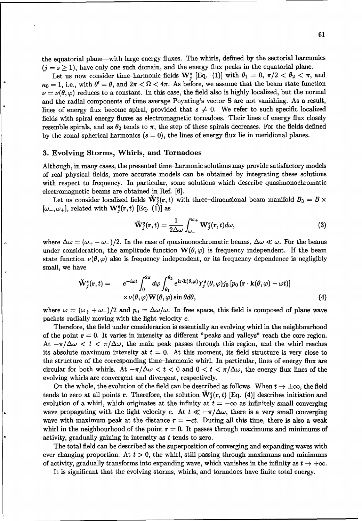the equatorial plane-with large energy fluxes. The whirls, defined by the sectorial harmonics  $(j = s \geq 1)$ , have only one such domain, and the energy flux peaks in the equatorial plane.

Let us now consider time-harmonic fields  $\mathbf{W}_i^s$  [Eq. (1)] with  $\theta_1 = 0$ ,  $\pi/2 < \theta_2 < \pi$ , and  $\kappa_0 = 1$ , i.e., with  $\theta' = \theta$ , and  $2\pi < \Omega < 4\pi$ . As before, we assume that the beam state function  $\nu = \nu(\theta, \varphi)$  reduces to a constant. In this case, the field also is highly localized, but the normal and the radial components of time average Poynting's vector S are not vanishing. As a result, lines of energy flux become spiral, provided that  $s \neq 0$ . We refer to such specific localized fields with spiral energy fluxes as electromagnetic tornadoes. Their lines of energy flux closely resemble spirals, and as  $\theta_2$  tends to  $\pi$ , the step of these spirals decreases. For the fields defined by the zonal spherical harmonics  $(s = 0)$ , the lines of energy flux lie in meridional planes.

#### **3.** Evolving Storms, Whirls, and Tornadoes

Although, in many cases, the presented time-harmonic solutions may provide satisfactory models of real physical fields, more accurate models can be obtained by integrating these solutions with respect to frequency. In particular, some solutions which describe quasimonochromatic electromagnetic beams are obtained in Ref. [6].

Let us consider localized fields  $\check{W}_{i}^{s}(r, t)$  with three-dimensional beam manifold  $B_{3} = B \times$  $[\omega_-, \omega_+]$ , related with  $\mathbf{W}_j^s(\mathbf{r},t)$  [Eq. (1)] as

$$
\breve{\mathbf{W}}_{j}^{s}(\mathbf{r},t)=\frac{1}{2\Delta\omega}\int_{\omega_{-}}^{\omega_{+}}\mathbf{W}_{j}^{s}(\mathbf{r},t)d\omega,
$$
\n(3)

where  $\Delta \omega = (\omega_+ - \omega_-)/2$ . In the case of quasimonochromatic beams,  $\Delta \omega \ll \omega$ . For the beams under consideration, the amplitude function  $W(\theta, \varphi)$  is frequency independent. If the beam state function  $\nu(\theta, \varphi)$  also is frequency independent, or its frequency dependence is negligibly small, we have

$$
\breve{\mathbf{W}}_{j}^{s}(\mathbf{r},t) = e^{-i\omega t} \int_{0}^{2\pi} d\varphi \int_{\theta_{1}}^{\theta_{2}} e^{i\mathbf{r}\cdot\mathbf{k}(\theta,\varphi)} Y_{j}^{s}(\theta,\varphi) j_{0} \left[ p_{0} \left( \mathbf{r}\cdot\mathbf{k}(\theta,\varphi) - \omega t \right) \right] \times \nu(\theta,\varphi) \mathbf{W}(\theta,\varphi) \sin \theta d\theta,
$$
\n(4)

where  $\omega = (\omega_+ + \omega_-)/2$  and  $p_0 = \Delta\omega/\omega$ . In free space, this field is composed of plane wave packets radially moving with the light velocity c.

Therefore, the field under considerarion is essentially an evolving whirl in the neighbourhood of the point  $r = 0$ . It varies in intensity as different "peaks and valleys" reach the core region. At  $-\pi/\Delta\omega < t < \pi/\Delta\omega$ , the main peak passes through this region, and the whirl reaches its absolute maximum intensity at  $t = 0$ . At this moment, its field structure is very close to the structure of the corresponding time-harmonic whirl. In particular, lines of energy flux are circular for both whirls. At  $-\pi/\Delta\omega < t < 0$  and  $0 < t < \pi/\Delta\omega$ , the energy flux lines of the evolving whirls are convergent and divergent, respectively.

On the whole, the evolution of the field can be described as follows. When  $t \to \pm \infty$ , the field tends to zero at all points r. Therefore, the solution  $\mathbf{W}_{i}^{s}(\mathbf{r},t)$  [Eq. (4)] describes initiation and evolution of a whirl, which originates at the infinity at  $t = -\infty$  as infinitely small converging wave propagating with the light velocity c. At  $t \ll -\pi/\Delta\omega$ , there is a very small converging wave with maximum peak at the distance  $r = -ct$ . During all this time, there is also a weak whirl in the neighbourhood of the point  $\mathbf{r} = 0$ . It passes through maximums and minimums of activity, gradually gaining in intensity as t tends to zero.

The total field can be described as the superposition of converging and expanding waves with ever changing proportion. At  $t > 0$ , the whirl, still passing through maximums and minimums of activity, gradually transforms into expanding wave, which vanishes in the infinity as  $t \to +\infty$ .

It is significant that the evolving storms, whirls, and tornadoes have finite total energy.